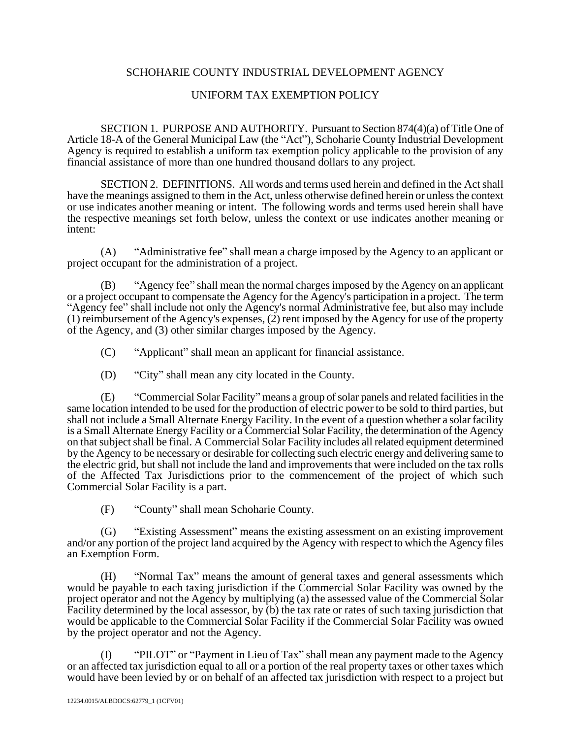## SCHOHARIE COUNTY INDUSTRIAL DEVELOPMENT AGENCY

# UNIFORM TAX EXEMPTION POLICY

SECTION 1. PURPOSE AND AUTHORITY. Pursuant to Section 874(4)(a) of Title One of Article 18-A of the General Municipal Law (the "Act"), Schoharie County Industrial Development Agency is required to establish a uniform tax exemption policy applicable to the provision of any financial assistance of more than one hundred thousand dollars to any project.

SECTION 2. DEFINITIONS. All words and terms used herein and defined in the Act shall have the meanings assigned to them in the Act, unless otherwise defined herein or unless the context or use indicates another meaning or intent. The following words and terms used herein shall have the respective meanings set forth below, unless the context or use indicates another meaning or intent:

(A) "Administrative fee" shall mean a charge imposed by the Agency to an applicant or project occupant for the administration of a project.

(B) "Agency fee" shall mean the normal charges imposed by the Agency on an applicant or a project occupant to compensate the Agency for the Agency's participation in a project. The term "Agency fee" shall include not only the Agency's normal Administrative fee, but also may include (1) reimbursement of the Agency's expenses, (2) rent imposed by the Agency for use of the property of the Agency, and (3) other similar charges imposed by the Agency.

(C) "Applicant" shall mean an applicant for financial assistance.

(D) "City" shall mean any city located in the County.

(E) "Commercial Solar Facility" means a group of solar panels and related facilities in the same location intended to be used for the production of electric power to be sold to third parties, but shall not include a Small Alternate Energy Facility. In the event of a question whether a solar facility is a Small Alternate Energy Facility or a Commercial Solar Facility, the determination of the Agency on that subject shall be final. A Commercial Solar Facility includes all related equipment determined by the Agency to be necessary or desirable for collecting such electric energy and delivering same to the electric grid, but shall not include the land and improvements that were included on the tax rolls of the Affected Tax Jurisdictions prior to the commencement of the project of which such Commercial Solar Facility is a part.

(F) "County" shall mean Schoharie County.

"Existing Assessment" means the existing assessment on an existing improvement and/or any portion of the project land acquired by the Agency with respect to which the Agency files an Exemption Form.

(H) "Normal Tax" means the amount of general taxes and general assessments which would be payable to each taxing jurisdiction if the Commercial Solar Facility was owned by the project operator and not the Agency by multiplying (a) the assessed value of the Commercial Solar Facility determined by the local assessor, by (b) the tax rate or rates of such taxing jurisdiction that would be applicable to the Commercial Solar Facility if the Commercial Solar Facility was owned by the project operator and not the Agency.

(I) "PILOT" or "Payment in Lieu of Tax" shall mean any payment made to the Agency or an affected tax jurisdiction equal to all or a portion of the real property taxes or other taxes which would have been levied by or on behalf of an affected tax jurisdiction with respect to a project but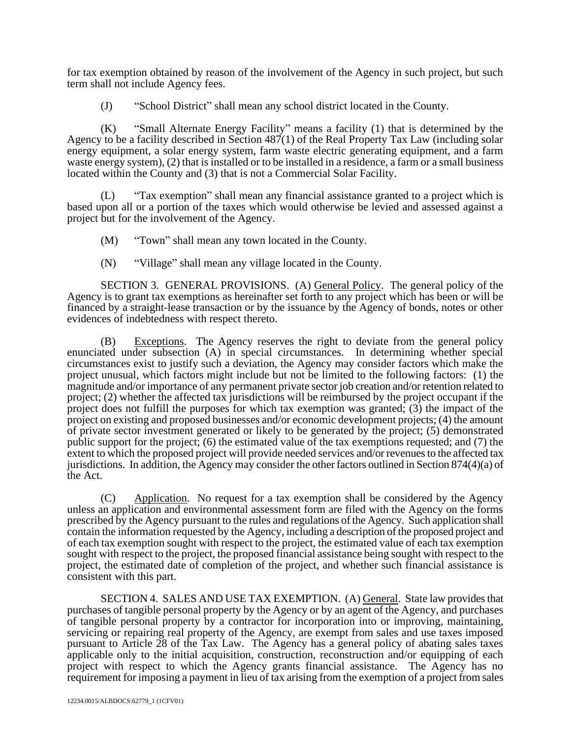for tax exemption obtained by reason of the involvement of the Agency in such project, but such term shall not include Agency fees.

(J) "School District" shall mean any school district located in the County.

(K) "Small Alternate Energy Facility" means a facility (1) that is determined by the Agency to be a facility described in Section  $487(1)$  of the Real Property Tax Law (including solar energy equipment, a solar energy system, farm waste electric generating equipment, and a farm waste energy system), (2) that is installed or to be installed in a residence, a farm or a small business located within the County and (3) that is not a Commercial Solar Facility.

(L) "Tax exemption" shall mean any financial assistance granted to a project which is based upon all or a portion of the taxes which would otherwise be levied and assessed against a project but for the involvement of the Agency.

(M) "Town" shall mean any town located in the County.

(N) "Village" shall mean any village located in the County.

SECTION 3. GENERAL PROVISIONS. (A) General Policy. The general policy of the Agency is to grant tax exemptions as hereinafter set forth to any project which has been or will be financed by a straight-lease transaction or by the issuance by the Agency of bonds, notes or other evidences of indebtedness with respect thereto.

(B) Exceptions. The Agency reserves the right to deviate from the general policy enunciated under subsection (A) in special circumstances. In determining whether special circumstances exist to justify such a deviation, the Agency may consider factors which make the project unusual, which factors might include but not be limited to the following factors: (1) the magnitude and/or importance of any permanent private sector job creation and/or retention related to project; (2) whether the affected tax jurisdictions will be reimbursed by the project occupant if the project does not fulfill the purposes for which tax exemption was granted; (3) the impact of the project on existing and proposed businesses and/or economic development projects; (4) the amount of private sector investment generated or likely to be generated by the project; (5) demonstrated public support for the project; (6) the estimated value of the tax exemptions requested; and (7) the extent to which the proposed project will provide needed services and/or revenues to the affected tax jurisdictions. In addition, the Agency may consider the other factors outlined in Section 874(4)(a) of the Act.

(C) Application. No request for a tax exemption shall be considered by the Agency unless an application and environmental assessment form are filed with the Agency on the forms prescribed by the Agency pursuant to the rules and regulations of the Agency. Such application shall contain the information requested by the Agency, including a description of the proposed project and of each tax exemption sought with respect to the project, the estimated value of each tax exemption sought with respect to the project, the proposed financial assistance being sought with respect to the project, the estimated date of completion of the project, and whether such financial assistance is consistent with this part.

SECTION 4. SALES AND USE TAX EXEMPTION. (A) General. State law provides that purchases of tangible personal property by the Agency or by an agent of the Agency, and purchases of tangible personal property by a contractor for incorporation into or improving, maintaining, servicing or repairing real property of the Agency, are exempt from sales and use taxes imposed pursuant to Article 28 of the Tax Law. The Agency has a general policy of abating sales taxes applicable only to the initial acquisition, construction, reconstruction and/or equipping of each project with respect to which the Agency grants financial assistance. The Agency has no requirement for imposing a payment in lieu of tax arising from the exemption of a project from sales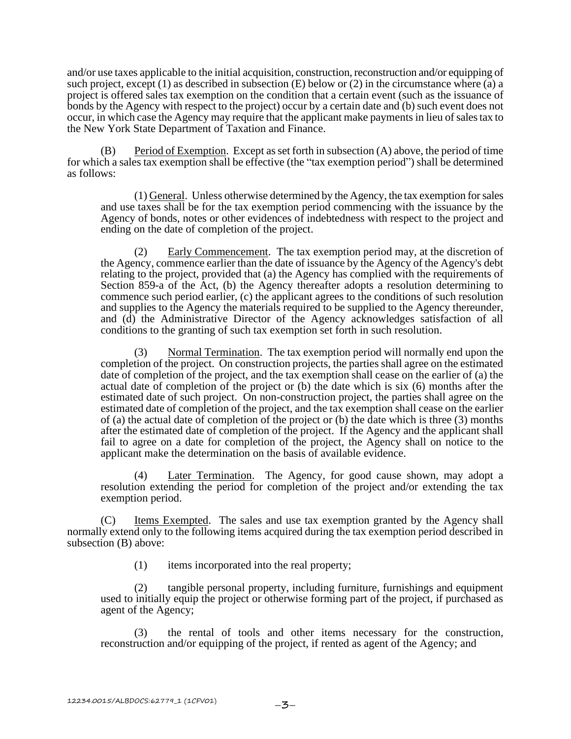and/or use taxes applicable to the initial acquisition, construction, reconstruction and/or equipping of such project, except (1) as described in subsection (E) below or (2) in the circumstance where (a) a project is offered sales tax exemption on the condition that a certain event (such as the issuance of bonds by the Agency with respect to the project) occur by a certain date and (b) such event does not occur, in which case the Agency may require that the applicant make payments in lieu of sales tax to the New York State Department of Taxation and Finance.

(B) Period of Exemption. Except as set forth in subsection (A) above, the period of time for which a sales tax exemption shall be effective (the "tax exemption period") shall be determined as follows:

(1) General. Unless otherwise determined by the Agency, the tax exemption for sales and use taxes shall be for the tax exemption period commencing with the issuance by the Agency of bonds, notes or other evidences of indebtedness with respect to the project and ending on the date of completion of the project.

(2) Early Commencement. The tax exemption period may, at the discretion of the Agency, commence earlier than the date of issuance by the Agency of the Agency's debt relating to the project, provided that (a) the Agency has complied with the requirements of Section 859-a of the Act, (b) the Agency thereafter adopts a resolution determining to commence such period earlier, (c) the applicant agrees to the conditions of such resolution and supplies to the Agency the materials required to be supplied to the Agency thereunder, and (d) the Administrative Director of the Agency acknowledges satisfaction of all conditions to the granting of such tax exemption set forth in such resolution.

(3) Normal Termination. The tax exemption period will normally end upon the completion of the project. On construction projects, the parties shall agree on the estimated date of completion of the project, and the tax exemption shall cease on the earlier of (a) the actual date of completion of the project or (b) the date which is six (6) months after the estimated date of such project. On non-construction project, the parties shall agree on the estimated date of completion of the project, and the tax exemption shall cease on the earlier of (a) the actual date of completion of the project or (b) the date which is three (3) months after the estimated date of completion of the project. If the Agency and the applicant shall fail to agree on a date for completion of the project, the Agency shall on notice to the applicant make the determination on the basis of available evidence.

(4) Later Termination. The Agency, for good cause shown, may adopt a resolution extending the period for completion of the project and/or extending the tax exemption period.

(C) Items Exempted. The sales and use tax exemption granted by the Agency shall normally extend only to the following items acquired during the tax exemption period described in subsection (B) above:

(1) items incorporated into the real property;

(2) tangible personal property, including furniture, furnishings and equipment used to initially equip the project or otherwise forming part of the project, if purchased as agent of the Agency;

(3) the rental of tools and other items necessary for the construction, reconstruction and/or equipping of the project, if rented as agent of the Agency; and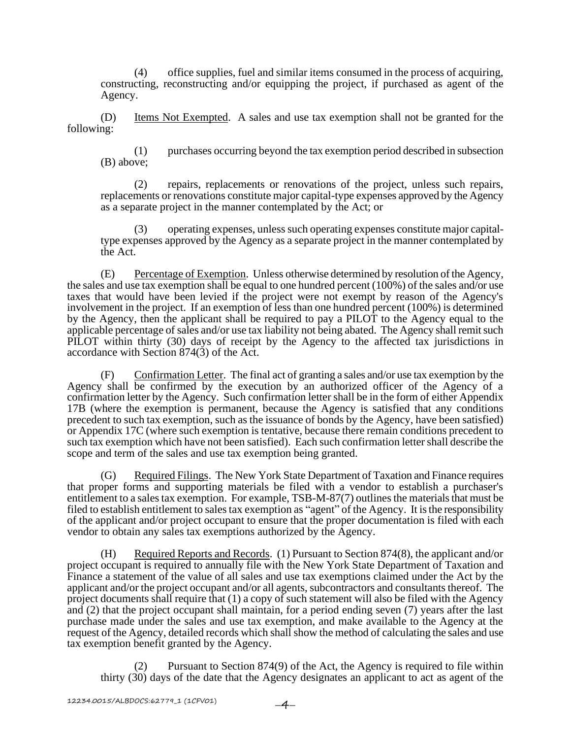(4) office supplies, fuel and similar items consumed in the process of acquiring, constructing, reconstructing and/or equipping the project, if purchased as agent of the Agency.

(D) Items Not Exempted. A sales and use tax exemption shall not be granted for the following:

(1) purchases occurring beyond the tax exemption period described in subsection (B) above;

(2) repairs, replacements or renovations of the project, unless such repairs, replacements or renovations constitute major capital-type expenses approved by the Agency as a separate project in the manner contemplated by the Act; or

(3) operating expenses, unless such operating expenses constitute major capitaltype expenses approved by the Agency as a separate project in the manner contemplated by the Act.

(E) Percentage of Exemption. Unless otherwise determined by resolution of the Agency, the sales and use tax exemption shall be equal to one hundred percent (100%) of the sales and/or use taxes that would have been levied if the project were not exempt by reason of the Agency's involvement in the project. If an exemption of less than one hundred percent (100%) is determined by the Agency, then the applicant shall be required to pay a PILOT to the Agency equal to the applicable percentage of sales and/or use tax liability not being abated. The Agency shall remit such PILOT within thirty (30) days of receipt by the Agency to the affected tax jurisdictions in accordance with Section 874(3) of the Act.

(F) Confirmation Letter. The final act of granting a sales and/or use tax exemption by the Agency shall be confirmed by the execution by an authorized officer of the Agency of a confirmation letter by the Agency. Such confirmation letter shall be in the form of either Appendix 17B (where the exemption is permanent, because the Agency is satisfied that any conditions precedent to such tax exemption, such as the issuance of bonds by the Agency, have been satisfied) or Appendix 17C (where such exemption is tentative, because there remain conditions precedent to such tax exemption which have not been satisfied). Each such confirmation letter shall describe the scope and term of the sales and use tax exemption being granted.

(G) Required Filings. The New York State Department of Taxation and Finance requires that proper forms and supporting materials be filed with a vendor to establish a purchaser's entitlement to a sales tax exemption. For example, TSB-M-87(7) outlines the materials that must be filed to establish entitlement to sales tax exemption as "agent" of the Agency. It is the responsibility of the applicant and/or project occupant to ensure that the proper documentation is filed with each vendor to obtain any sales tax exemptions authorized by the Agency.

(H) Required Reports and Records. (1) Pursuant to Section 874(8), the applicant and/or project occupant is required to annually file with the New York State Department of Taxation and Finance a statement of the value of all sales and use tax exemptions claimed under the Act by the applicant and/or the project occupant and/or all agents, subcontractors and consultants thereof. The project documents shall require that (1) a copy of such statement will also be filed with the Agency and (2) that the project occupant shall maintain, for a period ending seven (7) years after the last purchase made under the sales and use tax exemption, and make available to the Agency at the request of the Agency, detailed records which shall show the method of calculating the sales and use tax exemption benefit granted by the Agency.

Pursuant to Section  $874(9)$  of the Act, the Agency is required to file within thirty (30) days of the date that the Agency designates an applicant to act as agent of the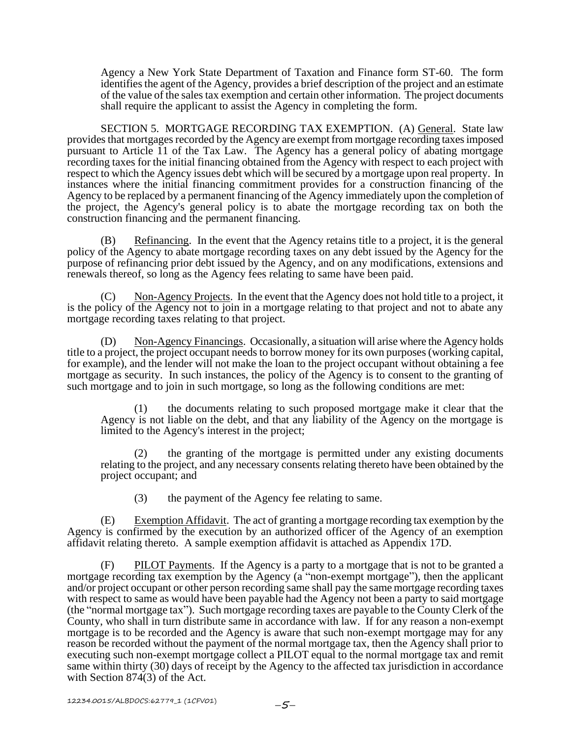Agency a New York State Department of Taxation and Finance form ST-60. The form identifies the agent of the Agency, provides a brief description of the project and an estimate of the value of the sales tax exemption and certain other information. The project documents shall require the applicant to assist the Agency in completing the form.

SECTION 5. MORTGAGE RECORDING TAX EXEMPTION. (A) General. State law provides that mortgages recorded by the Agency are exempt from mortgage recording taxes imposed pursuant to Article 11 of the Tax Law. The Agency has a general policy of abating mortgage recording taxes for the initial financing obtained from the Agency with respect to each project with respect to which the Agency issues debt which will be secured by a mortgage upon real property. In instances where the initial financing commitment provides for a construction financing of the Agency to be replaced by a permanent financing of the Agency immediately upon the completion of the project, the Agency's general policy is to abate the mortgage recording tax on both the construction financing and the permanent financing.

(B) Refinancing. In the event that the Agency retains title to a project, it is the general policy of the Agency to abate mortgage recording taxes on any debt issued by the Agency for the purpose of refinancing prior debt issued by the Agency, and on any modifications, extensions and renewals thereof, so long as the Agency fees relating to same have been paid.

(C) Non-Agency Projects. In the event that the Agency does not hold title to a project, it is the policy of the Agency not to join in a mortgage relating to that project and not to abate any mortgage recording taxes relating to that project.

(D) Non-Agency Financings. Occasionally, a situation will arise where the Agency holds title to a project, the project occupant needs to borrow money for its own purposes (working capital, for example), and the lender will not make the loan to the project occupant without obtaining a fee mortgage as security. In such instances, the policy of the Agency is to consent to the granting of such mortgage and to join in such mortgage, so long as the following conditions are met:

(1) the documents relating to such proposed mortgage make it clear that the Agency is not liable on the debt, and that any liability of the Agency on the mortgage is limited to the Agency's interest in the project;

(2) the granting of the mortgage is permitted under any existing documents relating to the project, and any necessary consents relating thereto have been obtained by the project occupant; and

(3) the payment of the Agency fee relating to same.

(E) Exemption Affidavit. The act of granting a mortgage recording tax exemption by the Agency is confirmed by the execution by an authorized officer of the Agency of an exemption affidavit relating thereto. A sample exemption affidavit is attached as Appendix 17D.

(F) PILOT Payments. If the Agency is a party to a mortgage that is not to be granted a mortgage recording tax exemption by the Agency (a "non-exempt mortgage"), then the applicant and/or project occupant or other person recording same shall pay the same mortgage recording taxes with respect to same as would have been payable had the Agency not been a party to said mortgage (the "normal mortgage tax"). Such mortgage recording taxes are payable to the County Clerk of the County, who shall in turn distribute same in accordance with law. If for any reason a non-exempt mortgage is to be recorded and the Agency is aware that such non-exempt mortgage may for any reason be recorded without the payment of the normal mortgage tax, then the Agency shall prior to executing such non-exempt mortgage collect a PILOT equal to the normal mortgage tax and remit same within thirty (30) days of receipt by the Agency to the affected tax jurisdiction in accordance with Section 874(3) of the Act.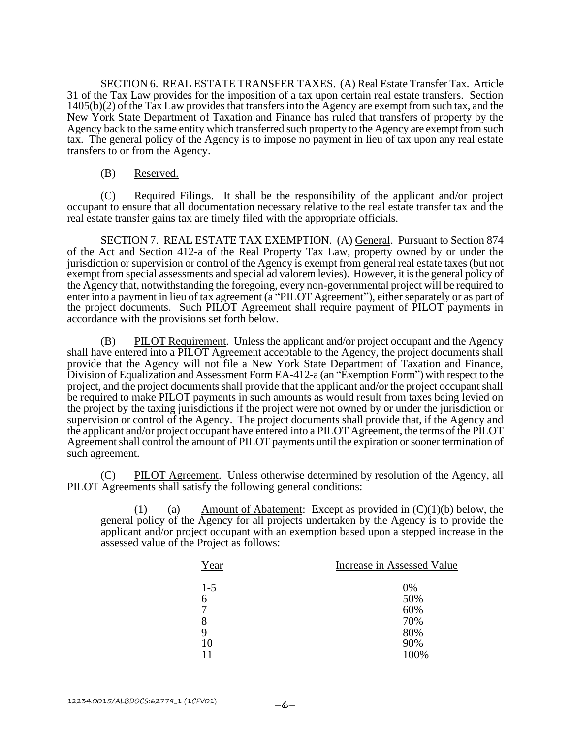SECTION 6. REAL ESTATE TRANSFER TAXES. (A) Real Estate Transfer Tax. Article 31 of the Tax Law provides for the imposition of a tax upon certain real estate transfers. Section 1405(b)(2) of the Tax Law provides that transfers into the Agency are exempt from such tax, and the New York State Department of Taxation and Finance has ruled that transfers of property by the Agency back to the same entity which transferred such property to the Agency are exempt from such tax. The general policy of the Agency is to impose no payment in lieu of tax upon any real estate transfers to or from the Agency.

### (B) Reserved.

(C) Required Filings. It shall be the responsibility of the applicant and/or project occupant to ensure that all documentation necessary relative to the real estate transfer tax and the real estate transfer gains tax are timely filed with the appropriate officials.

SECTION 7. REAL ESTATE TAX EXEMPTION. (A) General. Pursuant to Section 874 of the Act and Section 412-a of the Real Property Tax Law, property owned by or under the jurisdiction or supervision or control of the Agency is exempt from general real estate taxes (but not exempt from special assessments and special ad valorem levies). However, it is the general policy of the Agency that, notwithstanding the foregoing, every non-governmental project will be required to enter into a payment in lieu of tax agreement (a "PILOT Agreement"), either separately or as part of the project documents. Such PILOT Agreement shall require payment of PILOT payments in accordance with the provisions set forth below.

(B) PILOT Requirement. Unless the applicant and/or project occupant and the Agency shall have entered into a PILOT Agreement acceptable to the Agency, the project documents shall provide that the Agency will not file a New York State Department of Taxation and Finance, Division of Equalization and Assessment Form EA-412-a (an "Exemption Form") with respect to the project, and the project documents shall provide that the applicant and/or the project occupant shall be required to make PILOT payments in such amounts as would result from taxes being levied on the project by the taxing jurisdictions if the project were not owned by or under the jurisdiction or supervision or control of the Agency. The project documents shall provide that, if the Agency and the applicant and/or project occupant have entered into a PILOT Agreement, the terms of the PILOT Agreement shall control the amount of PILOT payments until the expiration or sooner termination of such agreement.

(C) PILOT Agreement. Unless otherwise determined by resolution of the Agency, all PILOT Agreements shall satisfy the following general conditions:

(1) (a) Amount of Abatement: Except as provided in  $(C)(1)(b)$  below, the general policy of the Agency for all projects undertaken by the Agency is to provide the applicant and/or project occupant with an exemption based upon a stepped increase in the assessed value of the Project as follows:

| Year  | Increase in Assessed Value |
|-------|----------------------------|
| $1-5$ | 0%                         |
| 6     | 50%                        |
| 7     | 60%                        |
| 8     | 70%                        |
| 9     | 80%                        |
| 10    | 90%                        |
| 11    | 100%                       |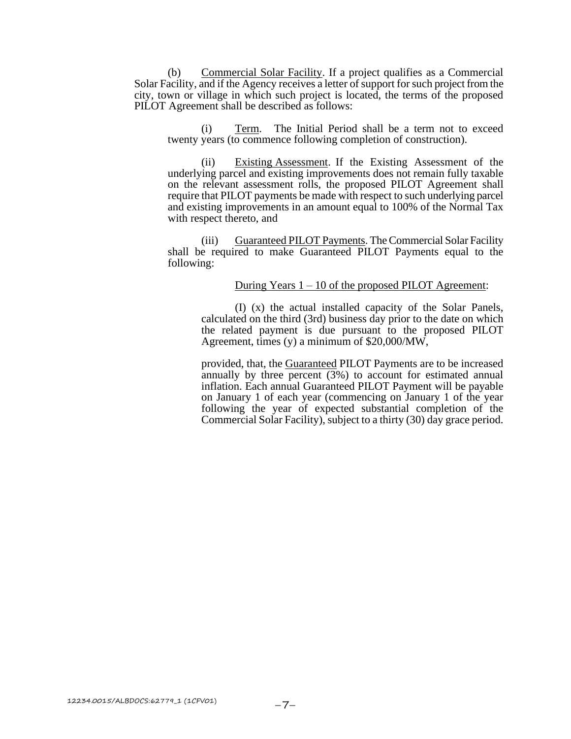(b) Commercial Solar Facility. If a project qualifies as a Commercial Solar Facility, and if the Agency receives a letter of support for such project from the city, town or village in which such project is located, the terms of the proposed PILOT Agreement shall be described as follows:

(i) Term. The Initial Period shall be a term not to exceed twenty years (to commence following completion of construction).

(ii) Existing Assessment. If the Existing Assessment of the underlying parcel and existing improvements does not remain fully taxable on the relevant assessment rolls, the proposed PILOT Agreement shall require that PILOT payments be made with respect to such underlying parcel and existing improvements in an amount equal to 100% of the Normal Tax with respect thereto, and

(iii) Guaranteed PILOT Payments. The Commercial Solar Facility shall be required to make Guaranteed PILOT Payments equal to the following:

### During Years  $1 - 10$  of the proposed PILOT Agreement:

(I) (x) the actual installed capacity of the Solar Panels, calculated on the third (3rd) business day prior to the date on which the related payment is due pursuant to the proposed PILOT Agreement, times (y) a minimum of \$20,000/MW,

provided, that, the Guaranteed PILOT Payments are to be increased annually by three percent  $(3\%)$  to account for estimated annual inflation. Each annual Guaranteed PILOT Payment will be payable on January 1 of each year (commencing on January 1 of the year following the year of expected substantial completion of the Commercial Solar Facility), subject to a thirty (30) day grace period.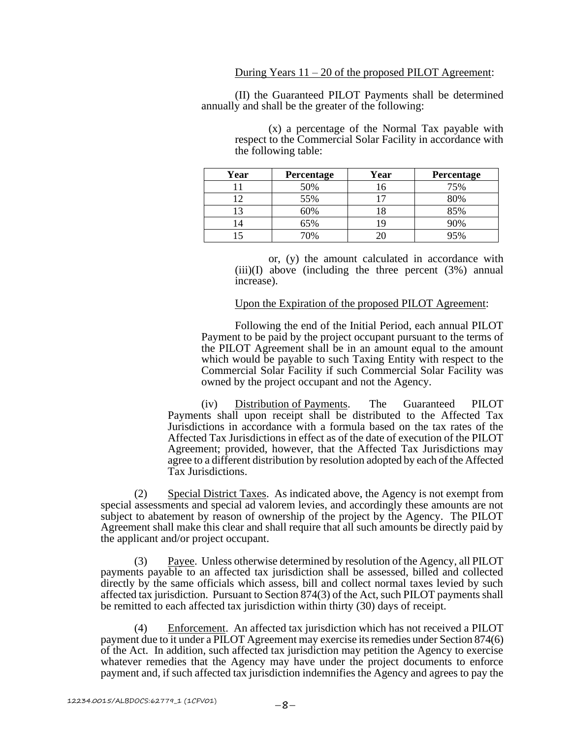(II) the Guaranteed PILOT Payments shall be determined annually and shall be the greater of the following:

| Year | Percentage | Year | Percentage |
|------|------------|------|------------|
|      | 50%        | 16   | 75%        |
| ר ו  | 55%        |      | 80%        |
|      | 60%        |      | 85%        |
|      | 65%        |      | 90%        |
|      | 70%        |      | 95%        |

(x) a percentage of the Normal Tax payable with respect to the Commercial Solar Facility in accordance with the following table:

or, (y) the amount calculated in accordance with  $(iii)(I)$  above (including the three percent  $(3%)$  annual increase).

### Upon the Expiration of the proposed PILOT Agreement:

Following the end of the Initial Period, each annual PILOT Payment to be paid by the project occupant pursuant to the terms of the PILOT Agreement shall be in an amount equal to the amount which would be payable to such Taxing Entity with respect to the Commercial Solar Facility if such Commercial Solar Facility was owned by the project occupant and not the Agency.

(iv) Distribution of Payments. The Guaranteed PILOT Payments shall upon receipt shall be distributed to the Affected Tax Jurisdictions in accordance with a formula based on the tax rates of the Affected Tax Jurisdictions in effect as of the date of execution of the PILOT Agreement; provided, however, that the Affected Tax Jurisdictions may agree to a different distribution by resolution adopted by each of the Affected Tax Jurisdictions.

(2) Special District Taxes. As indicated above, the Agency is not exempt from special assessments and special ad valorem levies, and accordingly these amounts are not subject to abatement by reason of ownership of the project by the Agency. The PILOT Agreement shall make this clear and shall require that all such amounts be directly paid by the applicant and/or project occupant.

(3) Payee. Unless otherwise determined by resolution of the Agency, all PILOT payments payable to an affected tax jurisdiction shall be assessed, billed and collected directly by the same officials which assess, bill and collect normal taxes levied by such affected tax jurisdiction. Pursuant to Section 874(3) of the Act, such PILOT payments shall be remitted to each affected tax jurisdiction within thirty (30) days of receipt.

(4) Enforcement. An affected tax jurisdiction which has not received a PILOT payment due to it under a PILOT Agreement may exercise its remedies under Section 874(6) of the Act. In addition, such affected tax jurisdiction may petition the Agency to exercise whatever remedies that the Agency may have under the project documents to enforce payment and, if such affected tax jurisdiction indemnifies the Agency and agrees to pay the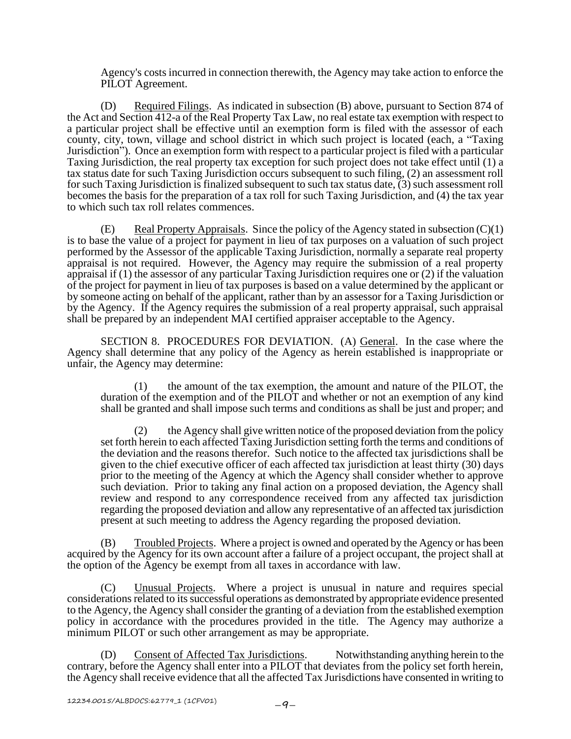Agency's costs incurred in connection therewith, the Agency may take action to enforce the PILOT Agreement.

(D) Required Filings. As indicated in subsection (B) above, pursuant to Section 874 of the Act and Section 412-a of the Real Property Tax Law, no real estate tax exemption with respect to a particular project shall be effective until an exemption form is filed with the assessor of each county, city, town, village and school district in which such project is located (each, a "Taxing Jurisdiction"). Once an exemption form with respect to a particular project is filed with a particular Taxing Jurisdiction, the real property tax exception for such project does not take effect until (1) a tax status date for such Taxing Jurisdiction occurs subsequent to such filing, (2) an assessment roll for such Taxing Jurisdiction is finalized subsequent to such tax status date,  $(3)$  such assessment roll becomes the basis for the preparation of a tax roll for such Taxing Jurisdiction, and (4) the tax year to which such tax roll relates commences.

(E) Real Property Appraisals. Since the policy of the Agency stated in subsection  $(C)(1)$ is to base the value of a project for payment in lieu of tax purposes on a valuation of such project performed by the Assessor of the applicable Taxing Jurisdiction, normally a separate real property appraisal is not required. However, the Agency may require the submission of a real property appraisal if (1) the assessor of any particular Taxing Jurisdiction requires one or (2) if the valuation of the project for payment in lieu of tax purposes is based on a value determined by the applicant or by someone acting on behalf of the applicant, rather than by an assessor for a Taxing Jurisdiction or by the Agency. If the Agency requires the submission of a real property appraisal, such appraisal shall be prepared by an independent MAI certified appraiser acceptable to the Agency.

SECTION 8. PROCEDURES FOR DEVIATION. (A) General. In the case where the Agency shall determine that any policy of the Agency as herein established is inappropriate or unfair, the Agency may determine:

(1) the amount of the tax exemption, the amount and nature of the PILOT, the duration of the exemption and of the PILOT and whether or not an exemption of any kind shall be granted and shall impose such terms and conditions as shall be just and proper; and

the Agency shall give written notice of the proposed deviation from the policy set forth herein to each affected Taxing Jurisdiction setting forth the terms and conditions of the deviation and the reasons therefor. Such notice to the affected tax jurisdictions shall be given to the chief executive officer of each affected tax jurisdiction at least thirty (30) days prior to the meeting of the Agency at which the Agency shall consider whether to approve such deviation. Prior to taking any final action on a proposed deviation, the Agency shall review and respond to any correspondence received from any affected tax jurisdiction regarding the proposed deviation and allow any representative of an affected tax jurisdiction present at such meeting to address the Agency regarding the proposed deviation.

(B) Troubled Projects. Where a project is owned and operated by the Agency or has been acquired by the Agency for its own account after a failure of a project occupant, the project shall at the option of the Agency be exempt from all taxes in accordance with law.

(C) Unusual Projects. Where a project is unusual in nature and requires special considerations related to its successful operations as demonstrated by appropriate evidence presented to the Agency, the Agency shall consider the granting of a deviation from the established exemption policy in accordance with the procedures provided in the title. The Agency may authorize a minimum PILOT or such other arrangement as may be appropriate.

(D) Consent of Affected Tax Jurisdictions. Notwithstanding anything herein to the contrary, before the Agency shall enter into a PILOT that deviates from the policy set forth herein, the Agency shall receive evidence that all the affected Tax Jurisdictions have consented in writing to